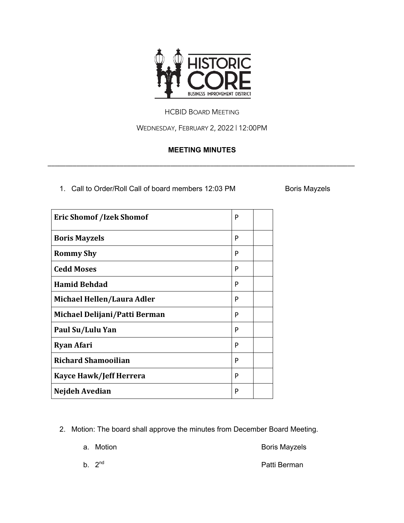

## HCBID BOARD MEETING

WEDNESDAY, FEBRUARY 2, 2022 | 12:00PM

## **MEETING MINUTES**

\_\_\_\_\_\_\_\_\_\_\_\_\_\_\_\_\_\_\_\_\_\_\_\_\_\_\_\_\_\_\_\_\_\_\_\_\_\_\_\_\_\_\_\_\_\_\_\_\_\_\_\_\_\_\_\_\_\_\_\_\_\_\_\_\_\_\_\_\_\_\_\_\_\_\_\_\_\_\_\_\_\_\_\_\_

1. Call to Order/Roll Call of board members 12:03 PM Boris Mayzels

| <b>Eric Shomof /Izek Shomof</b> | P |  |
|---------------------------------|---|--|
| <b>Boris Mayzels</b>            | P |  |
| <b>Rommy Shy</b>                | P |  |
| <b>Cedd Moses</b>               | P |  |
| <b>Hamid Behdad</b>             | P |  |
| Michael Hellen/Laura Adler      | P |  |
| Michael Delijani/Patti Berman   | P |  |
| Paul Su/Lulu Yan                | P |  |
| <b>Ryan Afari</b>               | P |  |
| <b>Richard Shamooilian</b>      | P |  |
| <b>Kayce Hawk/Jeff Herrera</b>  | P |  |
| Nejdeh Avedian                  | P |  |

2. Motion: The board shall approve the minutes from December Board Meeting.

a. Motion **Boris Mayzels** 

b. 2<sup>nd</sup> Patti Berman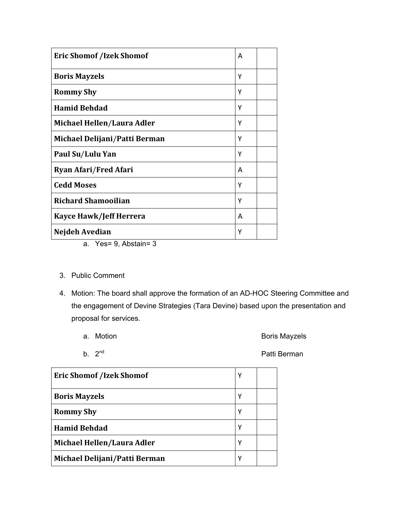| <b>Eric Shomof /Izek Shomof</b> | A |  |
|---------------------------------|---|--|
| <b>Boris Mayzels</b>            | Y |  |
| <b>Rommy Shy</b>                | Y |  |
| <b>Hamid Behdad</b>             | Y |  |
| Michael Hellen/Laura Adler      | Υ |  |
| Michael Delijani/Patti Berman   | Υ |  |
| Paul Su/Lulu Yan                | Y |  |
| <b>Ryan Afari/Fred Afari</b>    | A |  |
| <b>Cedd Moses</b>               | Υ |  |
| <b>Richard Shamooilian</b>      | Υ |  |
| <b>Kayce Hawk/Jeff Herrera</b>  | A |  |
| Nejdeh Avedian                  | Υ |  |

- a. Yes= 9, Abstain= 3
- 3. Public Comment
- 4. Motion: The board shall approve the formation of an AD-HOC Steering Committee and the engagement of Devine Strategies (Tara Devine) based upon the presentation and proposal for services.
	-
	- a. Motion **Boris Mayzels**
	-

b. 2<sup>nd</sup> Patti Berman

| <b>Eric Shomof /Izek Shomof</b> | Υ |  |
|---------------------------------|---|--|
| <b>Boris Mayzels</b>            | γ |  |
| <b>Rommy Shy</b>                | γ |  |
| <b>Hamid Behdad</b>             | γ |  |
| Michael Hellen/Laura Adler      | Υ |  |
| Michael Delijani/Patti Berman   | Υ |  |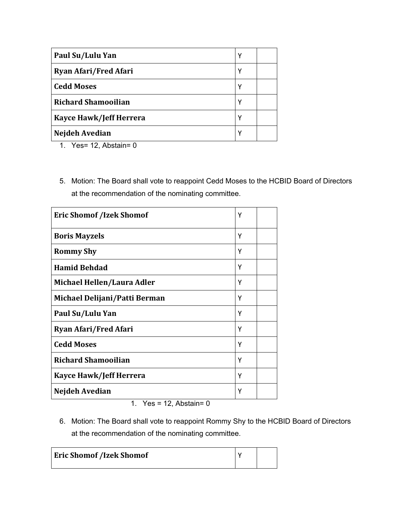| Paul Su/Lulu Yan             | Υ |  |
|------------------------------|---|--|
| <b>Ryan Afari/Fred Afari</b> | γ |  |
| <b>Cedd Moses</b>            | γ |  |
| <b>Richard Shamooilian</b>   | γ |  |
| Kayce Hawk/Jeff Herrera      | γ |  |
| Nejdeh Avedian               | γ |  |

- 1. Yes= 12, Abstain= 0
- 5. Motion: The Board shall vote to reappoint Cedd Moses to the HCBID Board of Directors at the recommendation of the nominating committee.

| <b>Eric Shomof /Izek Shomof</b> | Y |  |
|---------------------------------|---|--|
| <b>Boris Mayzels</b>            | Υ |  |
| <b>Rommy Shy</b>                | Υ |  |
| <b>Hamid Behdad</b>             | Υ |  |
| Michael Hellen/Laura Adler      | Υ |  |
| Michael Delijani/Patti Berman   | Υ |  |
| Paul Su/Lulu Yan                | Υ |  |
| <b>Ryan Afari/Fred Afari</b>    | Υ |  |
| <b>Cedd Moses</b>               | Υ |  |
| <b>Richard Shamooilian</b>      | Υ |  |
| <b>Kayce Hawk/Jeff Herrera</b>  | γ |  |
| Nejdeh Avedian                  | γ |  |

1. Yes =  $12$ , Abstain= 0

6. Motion: The Board shall vote to reappoint Rommy Shy to the HCBID Board of Directors at the recommendation of the nominating committee.

| <b>Eric Shomof /Izek Shomof</b> |  |
|---------------------------------|--|
|                                 |  |